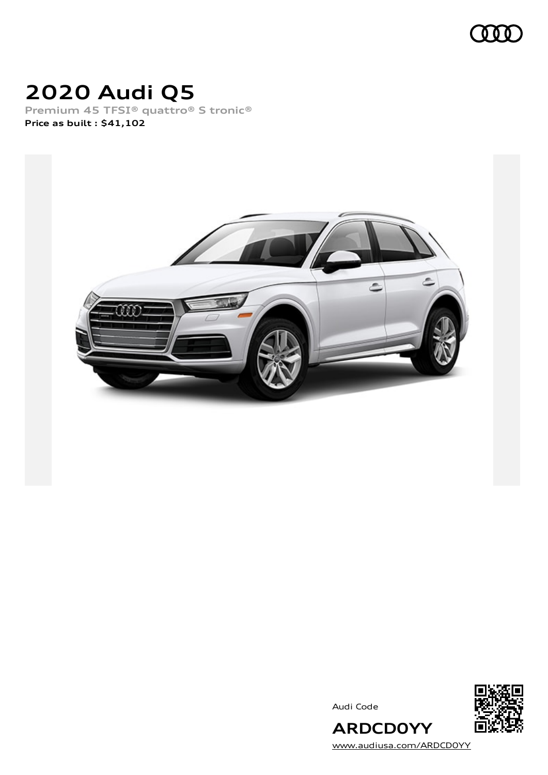

# **2020 Audi Q5**

**Premium 45 TFSI® quattro® S tronic® Price as built [:](#page-8-0) \$41,102**



Audi Code



[www.audiusa.com/ARDCD0YY](https://www.audiusa.com/ARDCD0YY)

**ARDCD0YY**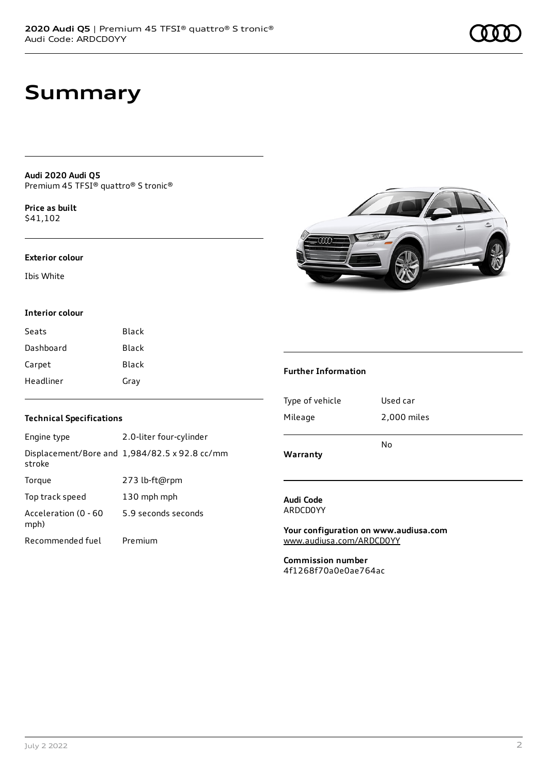### **Summary**

**Audi 2020 Audi Q5** Premium 45 TFSI® quattro® S tronic®

**Price as buil[t](#page-8-0)** \$41,102

#### **Exterior colour**

Ibis White

### **Interior colour**

| Seats     | Black |
|-----------|-------|
| Dashboard | Black |
| Carpet    | Black |
| Headliner | Gray  |

#### **Technical Specifications**

| Engine type                  | 2.0-liter four-cylinder                              |
|------------------------------|------------------------------------------------------|
| stroke                       | Displacement/Bore and $1,984/82.5 \times 92.8$ cc/mm |
| Torque                       | 273 lb-ft@rpm                                        |
| Top track speed              | 130 mph mph                                          |
| Acceleration (0 - 60<br>mph) | 5.9 seconds seconds                                  |
| Recommended fuel             | Premium                                              |



#### **Further Information**

| Warranty        |             |  |
|-----------------|-------------|--|
|                 | N٥          |  |
| Mileage         | 2,000 miles |  |
| Type of vehicle | Used car    |  |
|                 |             |  |

#### **Audi Code** ARDCD0YY

**Your configuration on www.audiusa.com** [www.audiusa.com/ARDCD0YY](https://www.audiusa.com/ARDCD0YY)

**Commission number** 4f1268f70a0e0ae764ac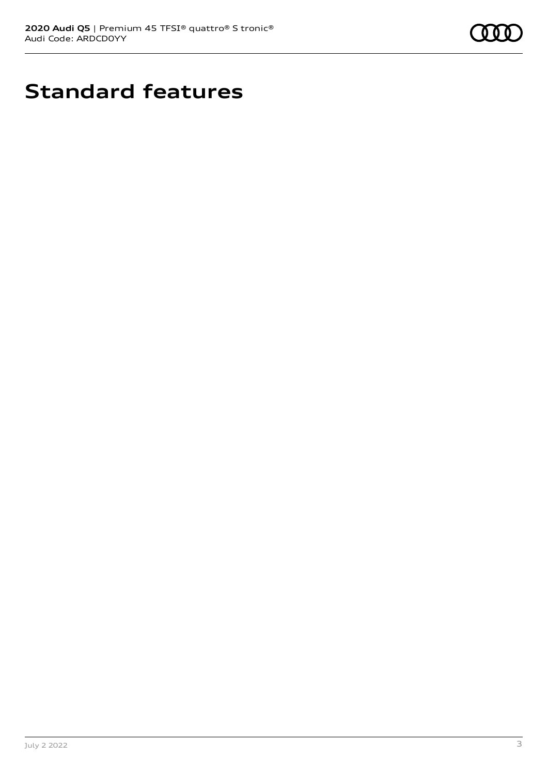

# **Standard features**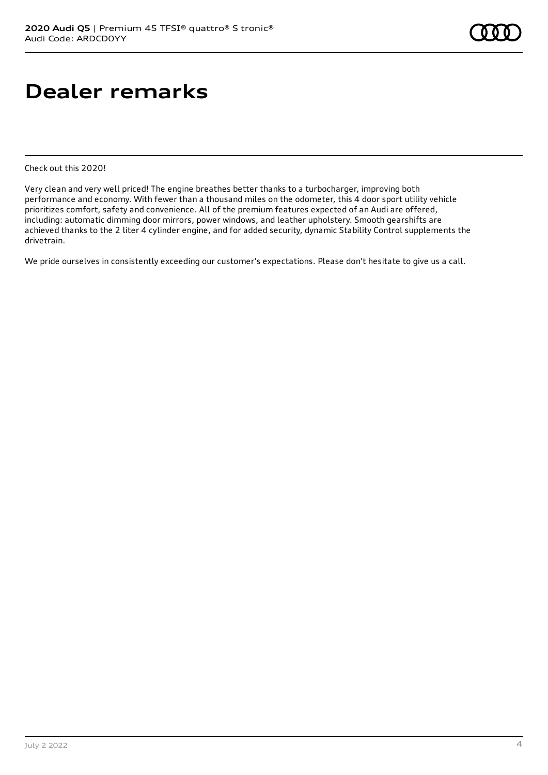### **Dealer remarks**

Check out this 2020!

Very clean and very well priced! The engine breathes better thanks to a turbocharger, improving both performance and economy. With fewer than a thousand miles on the odometer, this 4 door sport utility vehicle prioritizes comfort, safety and convenience. All of the premium features expected of an Audi are offered, including: automatic dimming door mirrors, power windows, and leather upholstery. Smooth gearshifts are achieved thanks to the 2 liter 4 cylinder engine, and for added security, dynamic Stability Control supplements the drivetrain.

We pride ourselves in consistently exceeding our customer's expectations. Please don't hesitate to give us a call.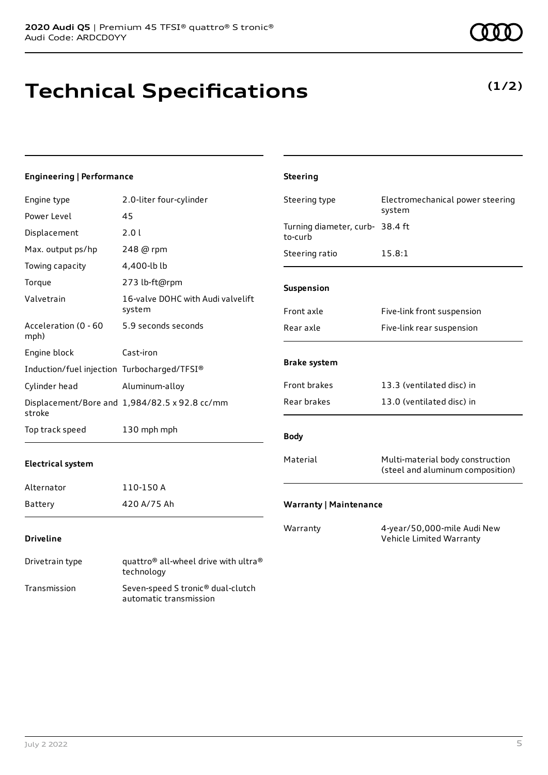Transmission Seven-speed S tronic® dual-clutch

automatic transmission

# **Technical Specifications**

**(1/2)**

| Engineering   Performance                   |                                                                            | <b>Steering</b>                 |                                                                      |
|---------------------------------------------|----------------------------------------------------------------------------|---------------------------------|----------------------------------------------------------------------|
| Engine type                                 | 2.0-liter four-cylinder                                                    | Steering type                   | Electromechanical power steering<br>system                           |
| Power Level                                 | 45                                                                         | Turning diameter, curb- 38.4 ft |                                                                      |
| Displacement                                | 2.01                                                                       | to-curb                         |                                                                      |
| Max. output ps/hp                           | 248 @ rpm                                                                  | Steering ratio                  | 15.8:1                                                               |
| Towing capacity                             | 4,400-lb lb                                                                |                                 |                                                                      |
| Torque                                      | 273 lb-ft@rpm                                                              | Suspension                      |                                                                      |
| Valvetrain                                  | 16-valve DOHC with Audi valvelift<br>system                                | Front axle                      | Five-link front suspension                                           |
| Acceleration (0 - 60<br>mph)                | 5.9 seconds seconds                                                        | Rear axle                       | Five-link rear suspension                                            |
| Engine block                                | Cast-iron                                                                  | <b>Brake system</b>             |                                                                      |
| Induction/fuel injection Turbocharged/TFSI® |                                                                            |                                 |                                                                      |
| Cylinder head                               | Aluminum-alloy                                                             | Front brakes                    | 13.3 (ventilated disc) in                                            |
| stroke                                      | Displacement/Bore and 1,984/82.5 x 92.8 cc/mm                              | Rear brakes                     | 13.0 (ventilated disc) in                                            |
| Top track speed                             | 130 mph mph                                                                | <b>Body</b>                     |                                                                      |
| <b>Electrical system</b>                    |                                                                            | Material                        | Multi-material body construction<br>(steel and aluminum composition) |
| Alternator                                  | 110-150 A                                                                  |                                 |                                                                      |
| Battery                                     | 420 A/75 Ah                                                                | <b>Warranty   Maintenance</b>   |                                                                      |
| <b>Driveline</b>                            |                                                                            | Warranty                        | 4-year/50,000-mile Audi New<br>Vehicle Limited Warranty              |
| Drivetrain type                             | quattro <sup>®</sup> all-wheel drive with ultra <sup>®</sup><br>technology |                                 |                                                                      |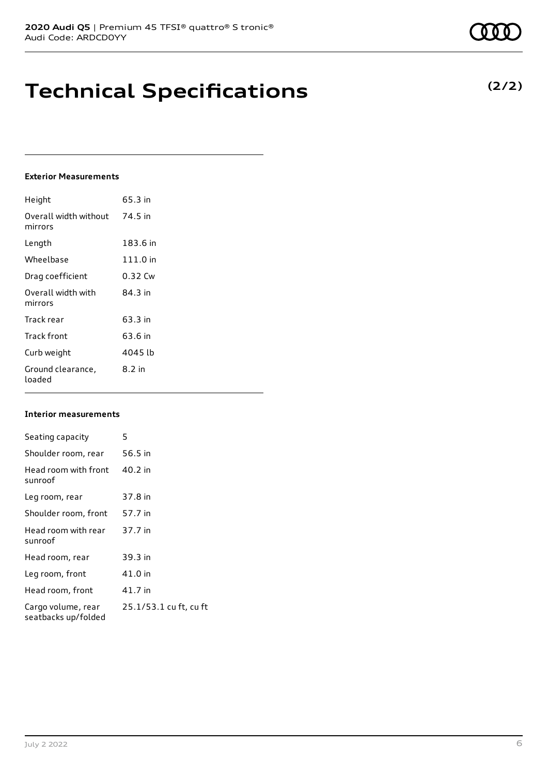## **Technical Specifications**

### **Exterior Measurements**

| Height                           | 65.3 in  |
|----------------------------------|----------|
| Overall width without<br>mirrors | 74.5 in  |
| Length                           | 183.6 in |
| Wheelbase                        | 111.0 in |
| Drag coefficient                 | 0.32 Cw  |
| Overall width with<br>mirrors    | 84 3 in  |
| Track rear                       | 63.3 in  |
| Track front                      | 63.6 in  |
| Curb weight                      | 4045 lb  |
| Ground clearance,<br>loaded      | 8.2 in   |

#### **Interior measurements**

| Seating capacity                          | 5                      |
|-------------------------------------------|------------------------|
| Shoulder room, rear                       | 56.5 in                |
| Head room with front<br>sunroof           | 40.2 in                |
| Leg room, rear                            | 37.8 in                |
| Shoulder room, front                      | 57.7 in                |
| Head room with rear<br>sunroof            | 37.7 in                |
| Head room, rear                           | 39.3 in                |
| Leg room, front                           | 41.0 in                |
| Head room, front                          | 41.7 in                |
| Cargo volume, rear<br>seatbacks up/folded | 25.1/53.1 cu ft, cu ft |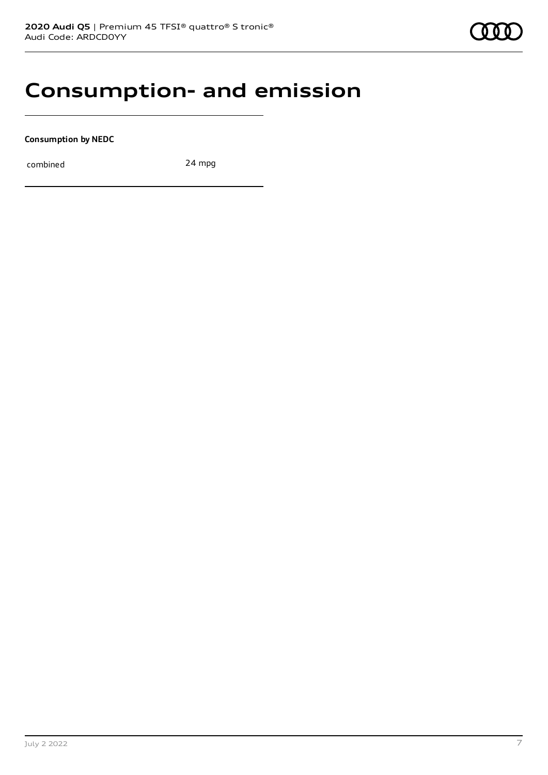### **Consumption- and emission**

**Consumption by NEDC**

combined 24 mpg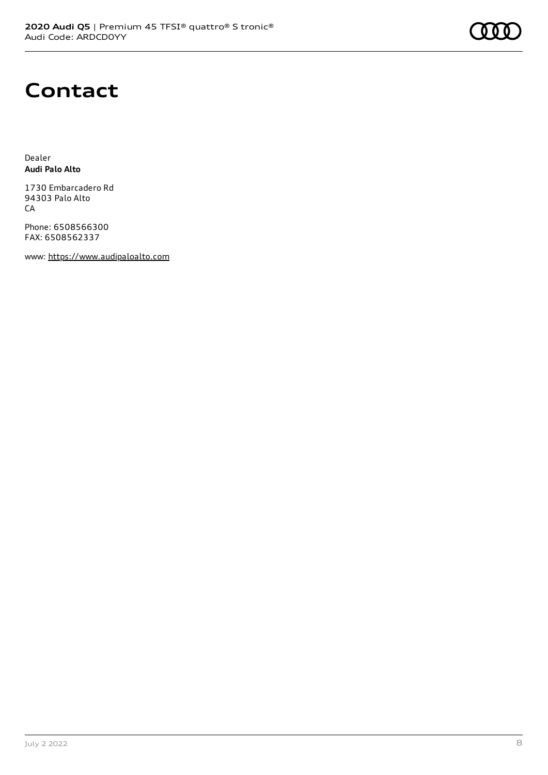

### **Contact**

Dealer **Audi Palo Alto**

1730 Embarcadero Rd 94303 Palo Alto CA

Phone: 6508566300 FAX: 6508562337

www: [https://www.audipaloalto.com](https://www.audipaloalto.com/)